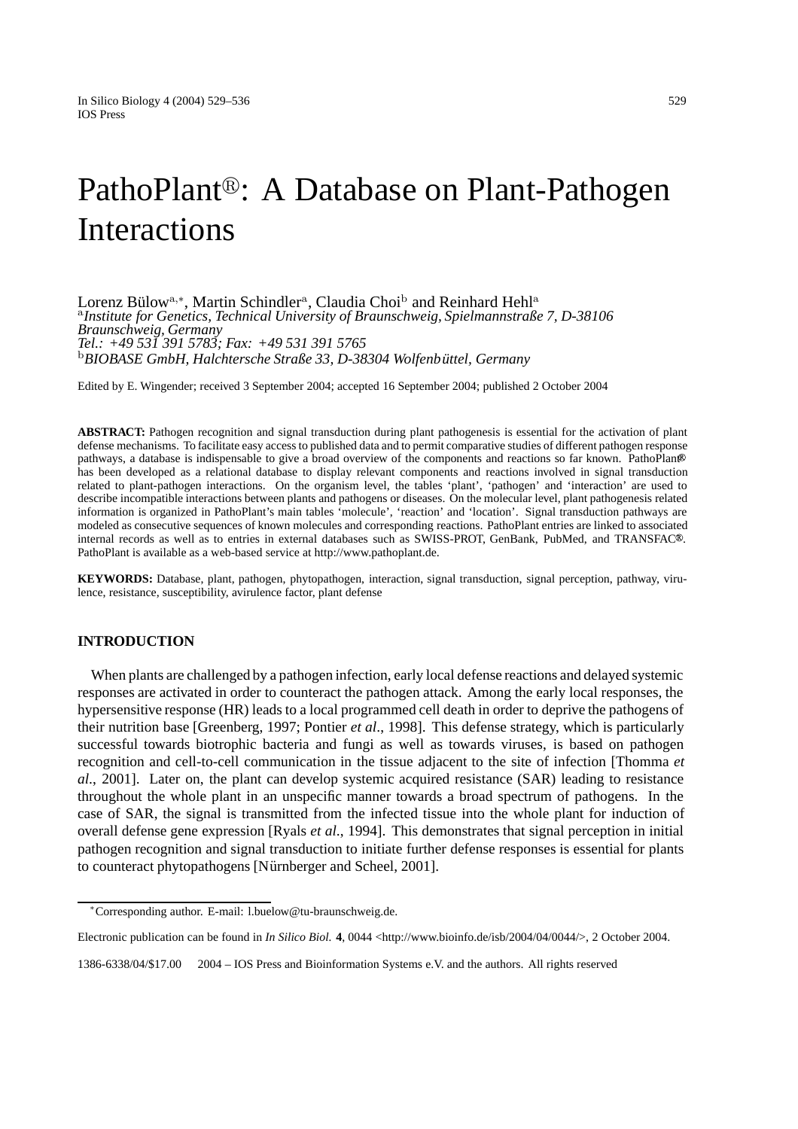# PathoPlant®: A Database on Plant-Pathogen Interactions

Lorenz Bülow<sup>a,∗</sup>, Martin Schindler<sup>a</sup>, Claudia Choi<sup>b</sup> and Reinhard Hehl<sup>a</sup> <sup>a</sup>*Institute for Genetics, Technical University of Braunschweig, Spielmannstraße 7, D-38106 Braunschweig, Germany Tel.: +49 531 391 5783; Fax: +49 531 391 5765* <sup>b</sup>BIOBASE GmbH, Halchtersche Straße 33, D-38304 Wolfenbüttel, Germany

Edited by E. Wingender; received 3 September 2004; accepted 16 September 2004; published 2 October 2004

**ABSTRACT:** Pathogen recognition and signal transduction during plant pathogenesis is essential for the activation of plant defense mechanisms. To facilitate easy access to published data and to permit comparative studies of different pathogen response pathways, a database is indispensable to give a broad overview of the components and reactions so far known. PathoPlant has been developed as a relational database to display relevant components and reactions involved in signal transduction related to plant-pathogen interactions. On the organism level, the tables 'plant', 'pathogen' and 'interaction' are used to describe incompatible interactions between plants and pathogens or diseases. On the molecular level, plant pathogenesis related information is organized in PathoPlant's main tables 'molecule', 'reaction' and 'location'. Signal transduction pathways are modeled as consecutive sequences of known molecules and corresponding reactions. PathoPlant entries are linked to associated internal records as well as to entries in external databases such as SWISS-PROT, GenBank, PubMed, and TRANSFAC<sup>®</sup>. PathoPlant is available as a web-based service at http://www.pathoplant.de.

**KEYWORDS:** Database, plant, pathogen, phytopathogen, interaction, signal transduction, signal perception, pathway, virulence, resistance, susceptibility, avirulence factor, plant defense

# **INTRODUCTION**

When plants are challenged by a pathogen infection, early local defense reactions and delayed systemic responses are activated in order to counteract the pathogen attack. Among the early local responses, the hypersensitive response (HR) leads to a local programmed cell death in order to deprive the pathogens of their nutrition base [Greenberg, 1997; Pontier *et al*., 1998]. This defense strategy, which is particularly successful towards biotrophic bacteria and fungi as well as towards viruses, is based on pathogen recognition and cell-to-cell communication in the tissue adjacent to the site of infection [Thomma *et al*., 2001]. Later on, the plant can develop systemic acquired resistance (SAR) leading to resistance throughout the whole plant in an unspecific manner towards a broad spectrum of pathogens. In the case of SAR, the signal is transmitted from the infected tissue into the whole plant for induction of overall defense gene expression [Ryals *et al*., 1994]. This demonstrates that signal perception in initial pathogen recognition and signal transduction to initiate further defense responses is essential for plants to counteract phytopathogens [Nürnberger and Scheel, 2001].

Electronic publication can be found in *In Silico Biol.* **4**, 0044 <http://www.bioinfo.de/isb/2004/04/0044/>, 2 October 2004.

1386-6338/04/\$17.00 2004 – IOS Press and Bioinformation Systems e.V. and the authors. All rights reserved

<sup>∗</sup>Corresponding author. E-mail: l.buelow@tu-braunschweig.de.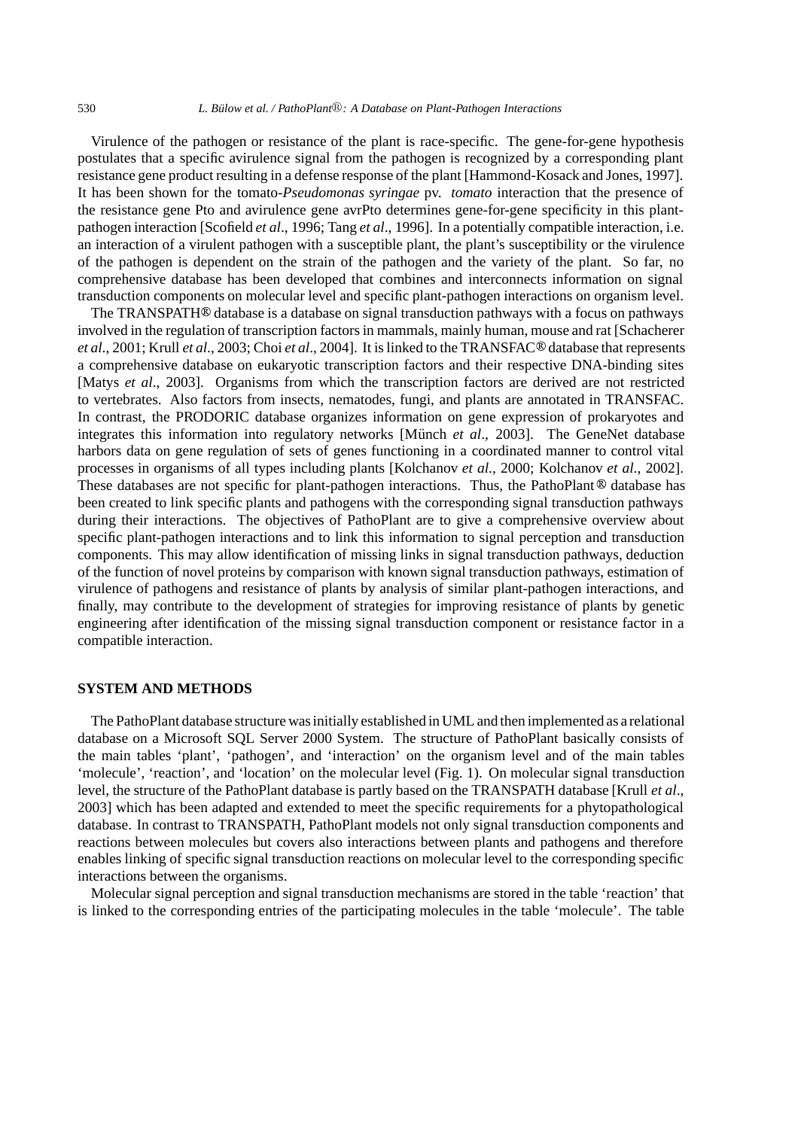Virulence of the pathogen or resistance of the plant is race-specific. The gene-for-gene hypothesis postulates that a specific avirulence signal from the pathogen is recognized by a corresponding plant resistance gene product resulting in a defense response of the plant [Hammond-Kosack and Jones, 1997]. It has been shown for the tomato-*Pseudomonas syringae* pv. *tomato* interaction that the presence of the resistance gene Pto and avirulence gene avrPto determines gene-for-gene specificity in this plantpathogen interaction [Scofield *et al*., 1996; Tang *et al*., 1996]. In a potentially compatible interaction, i.e. an interaction of a virulent pathogen with a susceptible plant, the plant's susceptibility or the virulence of the pathogen is dependent on the strain of the pathogen and the variety of the plant. So far, no comprehensive database has been developed that combines and interconnects information on signal transduction components on molecular level and specific plant-pathogen interactions on organism level.

The TRANSPATH<sup>®</sup> database is a database on signal transduction pathways with a focus on pathways involved in the regulation of transcription factors in mammals, mainly human, mouse and rat [Schacherer *et al.*, 2001; Krull *et al.*, 2003; Choi *et al.*, 2004]. It is linked to the TRANSFAC<sup>®</sup> database that represents a comprehensive database on eukaryotic transcription factors and their respective DNA-binding sites [Matys *et al*., 2003]. Organisms from which the transcription factors are derived are not restricted to vertebrates. Also factors from insects, nematodes, fungi, and plants are annotated in TRANSFAC. In contrast, the PRODORIC database organizes information on gene expression of prokaryotes and integrates this information into regulatory networks [Münch et al., 2003]. The GeneNet database harbors data on gene regulation of sets of genes functioning in a coordinated manner to control vital processes in organisms of all types including plants [Kolchanov *et al*., 2000; Kolchanov *et al*., 2002]. These databases are not specific for plant-pathogen interactions. Thus, the PathoPlant  $\mathcal{O}_0$  database has been created to link specific plants and pathogens with the corresponding signal transduction pathways during their interactions. The objectives of PathoPlant are to give a comprehensive overview about specific plant-pathogen interactions and to link this information to signal perception and transduction components. This may allow identification of missing links in signal transduction pathways, deduction of the function of novel proteins by comparison with known signal transduction pathways, estimation of virulence of pathogens and resistance of plants by analysis of similar plant-pathogen interactions, and finally, may contribute to the development of strategies for improving resistance of plants by genetic engineering after identification of the missing signal transduction component or resistance factor in a compatible interaction.

## **SYSTEM AND METHODS**

The PathoPlant database structure was initially established in UML and then implemented as a relational database on a Microsoft SQL Server 2000 System. The structure of PathoPlant basically consists of the main tables 'plant', 'pathogen', and 'interaction' on the organism level and of the main tables 'molecule', 'reaction', and 'location' on the molecular level (Fig. 1). On molecular signal transduction level, the structure of the PathoPlant database is partly based on the TRANSPATH database [Krull *et al*., 2003] which has been adapted and extended to meet the specific requirements for a phytopathological database. In contrast to TRANSPATH, PathoPlant models not only signal transduction components and reactions between molecules but covers also interactions between plants and pathogens and therefore enables linking of specific signal transduction reactions on molecular level to the corresponding specific interactions between the organisms.

Molecular signal perception and signal transduction mechanisms are stored in the table 'reaction' that is linked to the corresponding entries of the participating molecules in the table 'molecule'. The table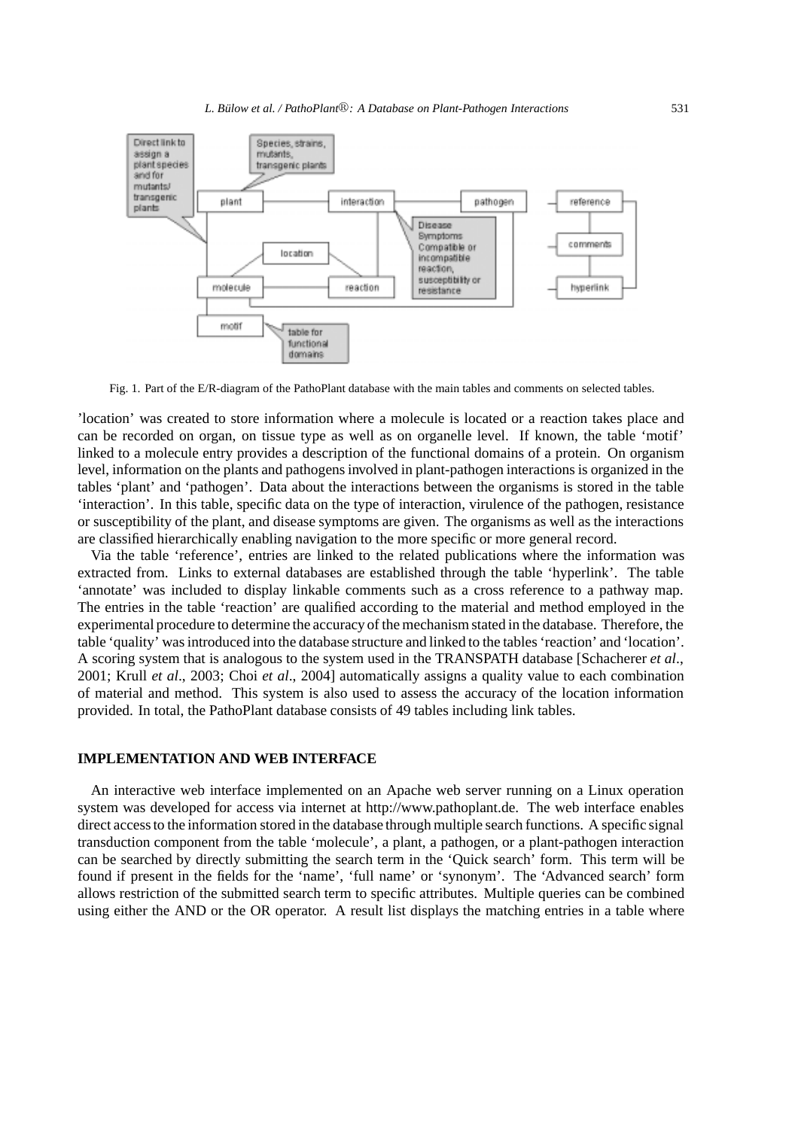

Fig. 1. Part of the E/R-diagram of the PathoPlant database with the main tables and comments on selected tables.

'location' was created to store information where a molecule is located or a reaction takes place and can be recorded on organ, on tissue type as well as on organelle level. If known, the table 'motif' linked to a molecule entry provides a description of the functional domains of a protein. On organism level, information on the plants and pathogens involved in plant-pathogen interactions is organized in the tables 'plant' and 'pathogen'. Data about the interactions between the organisms is stored in the table 'interaction'. In this table, specific data on the type of interaction, virulence of the pathogen, resistance or susceptibility of the plant, and disease symptoms are given. The organisms as well as the interactions are classified hierarchically enabling navigation to the more specific or more general record.

Via the table 'reference', entries are linked to the related publications where the information was extracted from. Links to external databases are established through the table 'hyperlink'. The table 'annotate' was included to display linkable comments such as a cross reference to a pathway map. The entries in the table 'reaction' are qualified according to the material and method employed in the experimental procedure to determine the accuracy of the mechanism stated in the database. Therefore, the table 'quality' was introduced into the database structure and linked to the tables 'reaction' and 'location'. A scoring system that is analogous to the system used in the TRANSPATH database [Schacherer *et al*., 2001; Krull *et al*., 2003; Choi *et al*., 2004] automatically assigns a quality value to each combination of material and method. This system is also used to assess the accuracy of the location information provided. In total, the PathoPlant database consists of 49 tables including link tables.

## **IMPLEMENTATION AND WEB INTERFACE**

An interactive web interface implemented on an Apache web server running on a Linux operation system was developed for access via internet at http://www.pathoplant.de. The web interface enables direct access to the information stored in the database through multiple search functions. A specific signal transduction component from the table 'molecule', a plant, a pathogen, or a plant-pathogen interaction can be searched by directly submitting the search term in the 'Quick search' form. This term will be found if present in the fields for the 'name', 'full name' or 'synonym'. The 'Advanced search' form allows restriction of the submitted search term to specific attributes. Multiple queries can be combined using either the AND or the OR operator. A result list displays the matching entries in a table where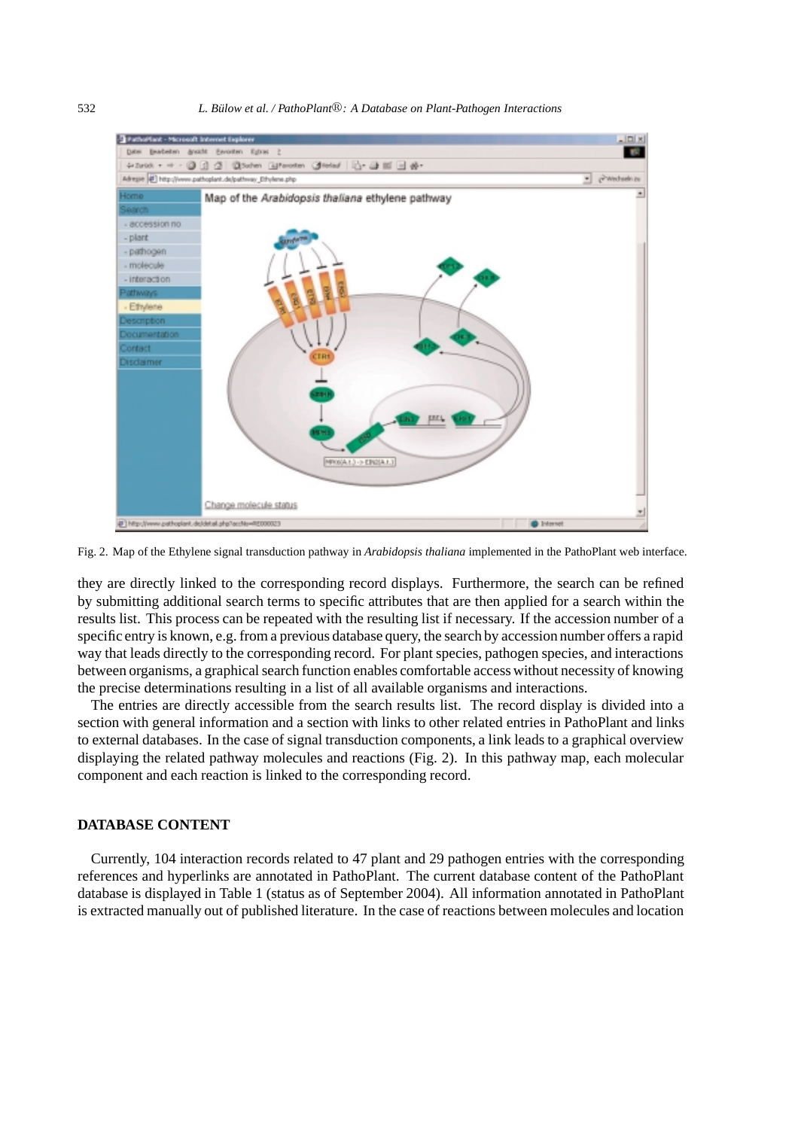#### 532 *L. Bulow ¨ et al. / PathoPlant: A Database on Plant-Pathogen Interactions*



Fig. 2. Map of the Ethylene signal transduction pathway in *Arabidopsis thaliana* implemented in the PathoPlant web interface.

they are directly linked to the corresponding record displays. Furthermore, the search can be refined by submitting additional search terms to specific attributes that are then applied for a search within the results list. This process can be repeated with the resulting list if necessary. If the accession number of a specific entry is known, e.g. from a previous database query, the search by accession number offers a rapid way that leads directly to the corresponding record. For plant species, pathogen species, and interactions between organisms, a graphical search function enables comfortable access without necessity of knowing the precise determinations resulting in a list of all available organisms and interactions.

The entries are directly accessible from the search results list. The record display is divided into a section with general information and a section with links to other related entries in PathoPlant and links to external databases. In the case of signal transduction components, a link leads to a graphical overview displaying the related pathway molecules and reactions (Fig. 2). In this pathway map, each molecular component and each reaction is linked to the corresponding record.

## **DATABASE CONTENT**

Currently, 104 interaction records related to 47 plant and 29 pathogen entries with the corresponding references and hyperlinks are annotated in PathoPlant. The current database content of the PathoPlant database is displayed in Table 1 (status as of September 2004). All information annotated in PathoPlant is extracted manually out of published literature. In the case of reactions between molecules and location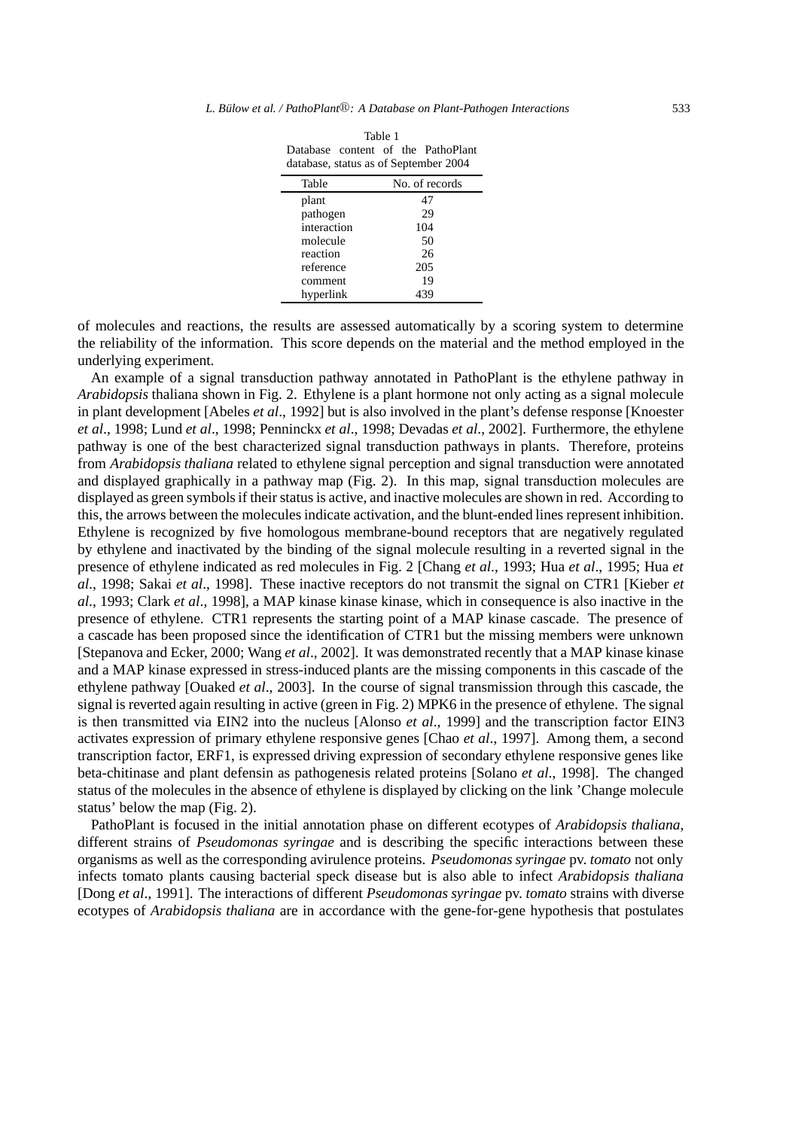Table 1

| Database content of the PathoPlant<br>database, status as of September 2004 |                |
|-----------------------------------------------------------------------------|----------------|
| Table                                                                       | No. of records |
| plant                                                                       | 47             |
| pathogen                                                                    | 29             |
| interaction                                                                 | 104            |
| molecule                                                                    | 50             |
| reaction                                                                    | 26             |
| reference                                                                   | 205            |
| comment                                                                     | 19             |
| hyperlink                                                                   | 439            |

of molecules and reactions, the results are assessed automatically by a scoring system to determine the reliability of the information. This score depends on the material and the method employed in the underlying experiment.

An example of a signal transduction pathway annotated in PathoPlant is the ethylene pathway in *Arabidopsis* thaliana shown in Fig. 2. Ethylene is a plant hormone not only acting as a signal molecule in plant development [Abeles *et al*., 1992] but is also involved in the plant's defense response [Knoester *et al*., 1998; Lund *et al*., 1998; Penninckx *et al*., 1998; Devadas *et al*., 2002]. Furthermore, the ethylene pathway is one of the best characterized signal transduction pathways in plants. Therefore, proteins from *Arabidopsis thaliana* related to ethylene signal perception and signal transduction were annotated and displayed graphically in a pathway map (Fig. 2). In this map, signal transduction molecules are displayed as green symbols if their status is active, and inactive molecules are shown in red. According to this, the arrows between the molecules indicate activation, and the blunt-ended lines represent inhibition. Ethylene is recognized by five homologous membrane-bound receptors that are negatively regulated by ethylene and inactivated by the binding of the signal molecule resulting in a reverted signal in the presence of ethylene indicated as red molecules in Fig. 2 [Chang *et al*., 1993; Hua *et al*., 1995; Hua *et al*., 1998; Sakai *et al*., 1998]. These inactive receptors do not transmit the signal on CTR1 [Kieber *et al*., 1993; Clark *et al*., 1998], a MAP kinase kinase kinase, which in consequence is also inactive in the presence of ethylene. CTR1 represents the starting point of a MAP kinase cascade. The presence of a cascade has been proposed since the identification of CTR1 but the missing members were unknown [Stepanova and Ecker, 2000; Wang *et al*., 2002]. It was demonstrated recently that a MAP kinase kinase and a MAP kinase expressed in stress-induced plants are the missing components in this cascade of the ethylene pathway [Ouaked *et al*., 2003]. In the course of signal transmission through this cascade, the signal is reverted again resulting in active (green in Fig. 2) MPK6 in the presence of ethylene. The signal is then transmitted via EIN2 into the nucleus [Alonso *et al*., 1999] and the transcription factor EIN3 activates expression of primary ethylene responsive genes [Chao *et al*., 1997]. Among them, a second transcription factor, ERF1, is expressed driving expression of secondary ethylene responsive genes like beta-chitinase and plant defensin as pathogenesis related proteins [Solano *et al*., 1998]. The changed status of the molecules in the absence of ethylene is displayed by clicking on the link 'Change molecule status' below the map (Fig. 2).

PathoPlant is focused in the initial annotation phase on different ecotypes of *Arabidopsis thaliana*, different strains of *Pseudomonas syringae* and is describing the specific interactions between these organisms as well as the corresponding avirulence proteins. *Pseudomonas syringae* pv. *tomato* not only infects tomato plants causing bacterial speck disease but is also able to infect *Arabidopsis thaliana* [Dong *et al*., 1991]. The interactions of different *Pseudomonas syringae* pv. *tomato* strains with diverse ecotypes of *Arabidopsis thaliana* are in accordance with the gene-for-gene hypothesis that postulates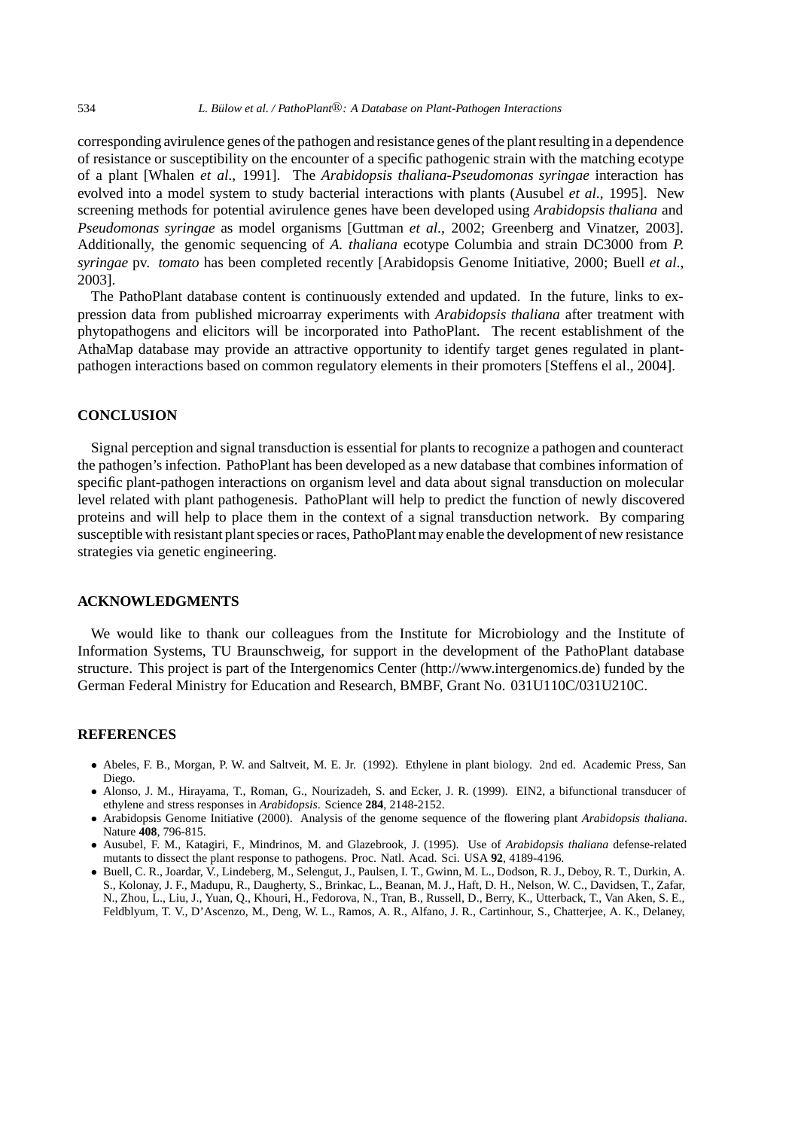corresponding avirulence genes of the pathogen and resistance genes of the plant resulting in a dependence of resistance or susceptibility on the encounter of a specific pathogenic strain with the matching ecotype of a plant [Whalen *et al*., 1991]. The *Arabidopsis thaliana-Pseudomonas syringae* interaction has evolved into a model system to study bacterial interactions with plants (Ausubel *et al*., 1995]. New screening methods for potential avirulence genes have been developed using *Arabidopsis thaliana* and *Pseudomonas syringae* as model organisms [Guttman *et al*., 2002; Greenberg and Vinatzer, 2003]. Additionally, the genomic sequencing of *A. thaliana* ecotype Columbia and strain DC3000 from *P. syringae* pv. *tomato* has been completed recently [Arabidopsis Genome Initiative, 2000; Buell *et al*., 2003].

The PathoPlant database content is continuously extended and updated. In the future, links to expression data from published microarray experiments with *Arabidopsis thaliana* after treatment with phytopathogens and elicitors will be incorporated into PathoPlant. The recent establishment of the AthaMap database may provide an attractive opportunity to identify target genes regulated in plantpathogen interactions based on common regulatory elements in their promoters [Steffens el al., 2004].

## **CONCLUSION**

Signal perception and signal transduction is essential for plants to recognize a pathogen and counteract the pathogen's infection. PathoPlant has been developed as a new database that combines information of specific plant-pathogen interactions on organism level and data about signal transduction on molecular level related with plant pathogenesis. PathoPlant will help to predict the function of newly discovered proteins and will help to place them in the context of a signal transduction network. By comparing susceptible with resistant plant species or races, PathoPlant may enable the development of new resistance strategies via genetic engineering.

## **ACKNOWLEDGMENTS**

We would like to thank our colleagues from the Institute for Microbiology and the Institute of Information Systems, TU Braunschweig, for support in the development of the PathoPlant database structure. This project is part of the Intergenomics Center (http://www.intergenomics.de) funded by the German Federal Ministry for Education and Research, BMBF, Grant No. 031U110C/031U210C.

## **REFERENCES**

- *•* Abeles, F. B., Morgan, P. W. and Saltveit, M. E. Jr. (1992). Ethylene in plant biology. 2nd ed. Academic Press, San Diego.
- *•* Alonso, J. M., Hirayama, T., Roman, G., Nourizadeh, S. and Ecker, J. R. (1999). EIN2, a bifunctional transducer of ethylene and stress responses in *Arabidopsis*. Science **284**, 2148-2152.
- *•* Arabidopsis Genome Initiative (2000). Analysis of the genome sequence of the flowering plant *Arabidopsis thaliana*. Nature **408**, 796-815.
- *•* Ausubel, F. M., Katagiri, F., Mindrinos, M. and Glazebrook, J. (1995). Use of *Arabidopsis thaliana* defense-related mutants to dissect the plant response to pathogens. Proc. Natl. Acad. Sci. USA **92**, 4189-4196.
- *•* Buell, C. R., Joardar, V., Lindeberg, M., Selengut, J., Paulsen, I. T., Gwinn, M. L., Dodson, R. J., Deboy, R. T., Durkin, A. S., Kolonay, J. F., Madupu, R., Daugherty, S., Brinkac, L., Beanan, M. J., Haft, D. H., Nelson, W. C., Davidsen, T., Zafar, N., Zhou, L., Liu, J., Yuan, Q., Khouri, H., Fedorova, N., Tran, B., Russell, D., Berry, K., Utterback, T., Van Aken, S. E., Feldblyum, T. V., D'Ascenzo, M., Deng, W. L., Ramos, A. R., Alfano, J. R., Cartinhour, S., Chatterjee, A. K., Delaney,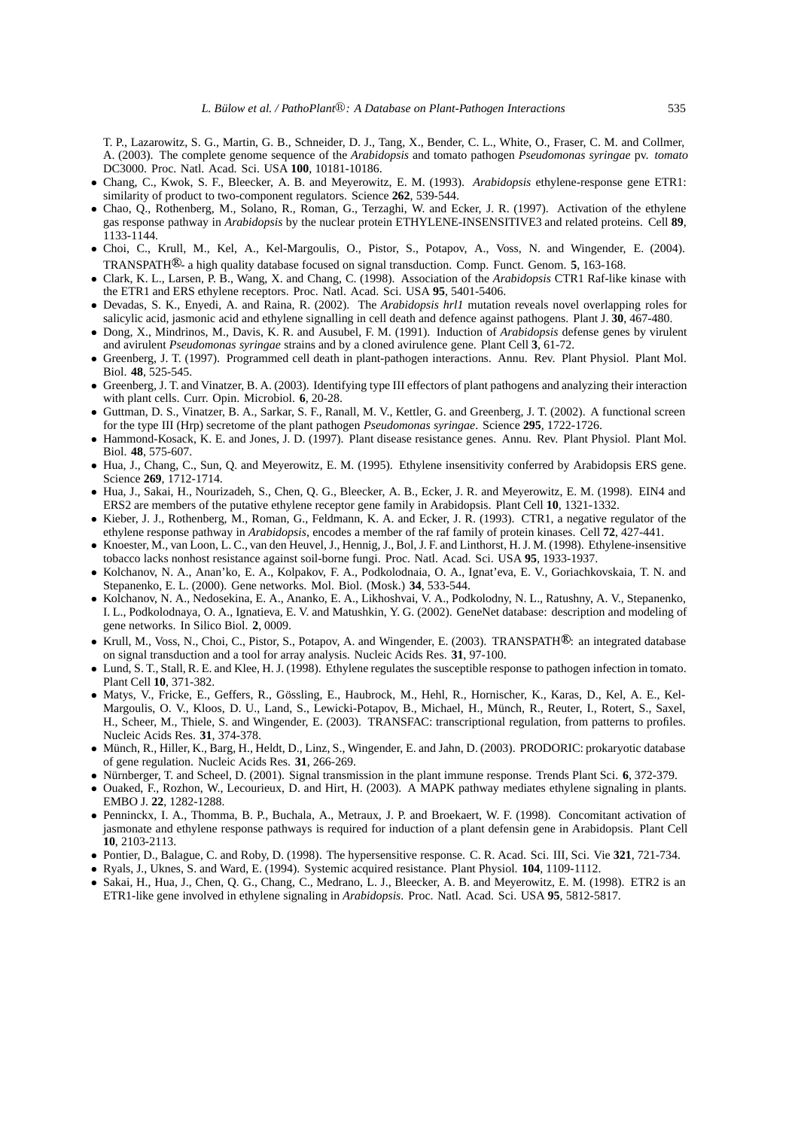T. P., Lazarowitz, S. G., Martin, G. B., Schneider, D. J., Tang, X., Bender, C. L., White, O., Fraser, C. M. and Collmer, A. (2003). The complete genome sequence of the *Arabidopsis* and tomato pathogen *Pseudomonas syringae* pv. *tomato* DC3000. Proc. Natl. Acad. Sci. USA **100**, 10181-10186.

- *•* Chang, C., Kwok, S. F., Bleecker, A. B. and Meyerowitz, E. M. (1993). *Arabidopsis* ethylene-response gene ETR1: similarity of product to two-component regulators. Science **262**, 539-544.
- *•* Chao, Q., Rothenberg, M., Solano, R., Roman, G., Terzaghi, W. and Ecker, J. R. (1997). Activation of the ethylene gas response pathway in *Arabidopsis* by the nuclear protein ETHYLENE-INSENSITIVE3 and related proteins. Cell **89**, 1133-1144.
- *•* Choi, C., Krull, M., Kel, A., Kel-Margoulis, O., Pistor, S., Potapov, A., Voss, N. and Wingender, E. (2004). TRANSPATH<sup>®</sup>- a high quality database focused on signal transduction. Comp. Funct. Genom. 5, 163-168.
- *•* Clark, K. L., Larsen, P. B., Wang, X. and Chang, C. (1998). Association of the *Arabidopsis* CTR1 Raf-like kinase with the ETR1 and ERS ethylene receptors. Proc. Natl. Acad. Sci. USA **95**, 5401-5406.
- *•* Devadas, S. K., Enyedi, A. and Raina, R. (2002). The *Arabidopsis hrl1* mutation reveals novel overlapping roles for salicylic acid, jasmonic acid and ethylene signalling in cell death and defence against pathogens. Plant J. **30**, 467-480.
- *•* Dong, X., Mindrinos, M., Davis, K. R. and Ausubel, F. M. (1991). Induction of *Arabidopsis* defense genes by virulent and avirulent *Pseudomonas syringae* strains and by a cloned avirulence gene. Plant Cell **3**, 61-72.
- *•* Greenberg, J. T. (1997). Programmed cell death in plant-pathogen interactions. Annu. Rev. Plant Physiol. Plant Mol. Biol. **48**, 525-545.
- Greenberg, J. T. and Vinatzer, B. A. (2003). Identifying type III effectors of plant pathogens and analyzing their interaction with plant cells. Curr. Opin. Microbiol. **6**, 20-28.
- *•* Guttman, D. S., Vinatzer, B. A., Sarkar, S. F., Ranall, M. V., Kettler, G. and Greenberg, J. T. (2002). A functional screen for the type III (Hrp) secretome of the plant pathogen *Pseudomonas syringae*. Science **295**, 1722-1726.
- *•* Hammond-Kosack, K. E. and Jones, J. D. (1997). Plant disease resistance genes. Annu. Rev. Plant Physiol. Plant Mol. Biol. **48**, 575-607.
- *•* Hua, J., Chang, C., Sun, Q. and Meyerowitz, E. M. (1995). Ethylene insensitivity conferred by Arabidopsis ERS gene. Science **269**, 1712-1714.
- *•* Hua, J., Sakai, H., Nourizadeh, S., Chen, Q. G., Bleecker, A. B., Ecker, J. R. and Meyerowitz, E. M. (1998). EIN4 and ERS2 are members of the putative ethylene receptor gene family in Arabidopsis. Plant Cell **10**, 1321-1332.
- *•* Kieber, J. J., Rothenberg, M., Roman, G., Feldmann, K. A. and Ecker, J. R. (1993). CTR1, a negative regulator of the ethylene response pathway in *Arabidopsis*, encodes a member of the raf family of protein kinases. Cell **72**, 427-441.
- *•* Knoester, M., van Loon, L. C., van den Heuvel, J., Hennig, J., Bol, J. F. and Linthorst, H. J. M. (1998). Ethylene-insensitive tobacco lacks nonhost resistance against soil-borne fungi. Proc. Natl. Acad. Sci. USA **95**, 1933-1937.
- *•* Kolchanov, N. A., Anan'ko, E. A., Kolpakov, F. A., Podkolodnaia, O. A., Ignat'eva, E. V., Goriachkovskaia, T. N. and Stepanenko, E. L. (2000). Gene networks. Mol. Biol. (Mosk.) **34**, 533-544.
- *•* Kolchanov, N. A., Nedosekina, E. A., Ananko, E. A., Likhoshvai, V. A., Podkolodny, N. L., Ratushny, A. V., Stepanenko, I. L., Podkolodnaya, O. A., Ignatieva, E. V. and Matushkin, Y. G. (2002). GeneNet database: description and modeling of gene networks. In Silico Biol. **2**, 0009.
- Krull, M., Voss, N., Choi, C., Pistor, S., Potapov, A. and Wingender, E. (2003). TRANSPATH<sup>®</sup>: an integrated database on signal transduction and a tool for array analysis. Nucleic Acids Res. **31**, 97-100.
- Lund, S. T., Stall, R. E. and Klee, H. J. (1998). Ethylene regulates the susceptible response to pathogen infection in tomato. Plant Cell **10**, 371-382.
- Matys, V., Fricke, E., Geffers, R., Gössling, E., Haubrock, M., Hehl, R., Hornischer, K., Karas, D., Kel, A. E., Kel-Margoulis, O. V., Kloos, D. U., Land, S., Lewicki-Potapov, B., Michael, H., Munch, R., Reuter, I., Rotert, S., Saxel, ¨ H., Scheer, M., Thiele, S. and Wingender, E. (2003). TRANSFAC: transcriptional regulation, from patterns to profiles. Nucleic Acids Res. **31**, 374-378.
- Münch, R., Hiller, K., Barg, H., Heldt, D., Linz, S., Wingender, E. and Jahn, D. (2003). PRODORIC: prokaryotic database of gene regulation. Nucleic Acids Res. **31**, 266-269.
- Nürnberger, T. and Scheel, D. (2001). Signal transmission in the plant immune response. Trends Plant Sci. 6, 372-379.
- Ouaked, F., Rozhon, W., Lecourieux, D. and Hirt, H. (2003). A MAPK pathway mediates ethylene signaling in plants. EMBO J. **22**, 1282-1288.
- *•* Penninckx, I. A., Thomma, B. P., Buchala, A., Metraux, J. P. and Broekaert, W. F. (1998). Concomitant activation of jasmonate and ethylene response pathways is required for induction of a plant defensin gene in Arabidopsis. Plant Cell **10**, 2103-2113.
- *•* Pontier, D., Balague, C. and Roby, D. (1998). The hypersensitive response. C. R. Acad. Sci. III, Sci. Vie **321**, 721-734.
- *•* Ryals, J., Uknes, S. and Ward, E. (1994). Systemic acquired resistance. Plant Physiol. **104**, 1109-1112.
- Sakai, H., Hua, J., Chen, Q. G., Chang, C., Medrano, L. J., Bleecker, A. B. and Meyerowitz, E. M. (1998). ETR2 is an ETR1-like gene involved in ethylene signaling in *Arabidopsis*. Proc. Natl. Acad. Sci. USA **95**, 5812-5817.